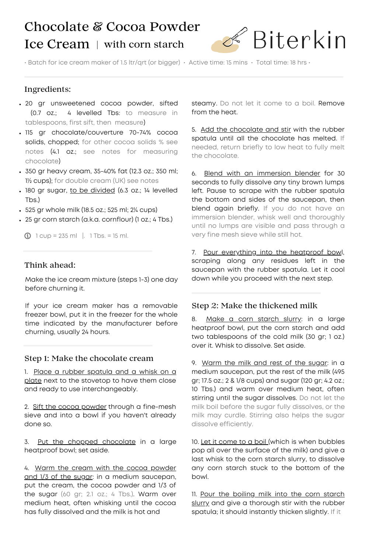# Chocolate & Cocoa Powder Ice Cream | with corn starch



• Batch for ice cream maker of 1.5 ltr/qrt (or bigger) • Active time: 15 mins • Total time: 18 hrs •

# Ingredients:

- 20 gr unsweetened cocoa powder, sifted (0.7 oz.; 4 levelled Tbs: to measure in tablespoons, first sift, then measure)
- 115 gr chocolate/couverture 70-74% cocoa solids, chopped; for other cocoa solids % see notes (4.1 oz.; see notes for measuring chocolate)
- 350 gr heavy cream, 35-40% fat (12.3 oz.; 350 ml; 1½ cups); for double cream (UK) see notes
- . 180 gr sugar, to be divided (6.3 oz.; 14 levelled Tbs.)
- 525 gr whole milk (18.5 oz.; 525 ml; 2¼ cups)
- 25 gr corn starch (a.k.a. cornflour) (1 oz.; 4 Tbs.)

 $\bigcirc$  1 cup = 235 ml |. 1 Tbs. = 15 ml.

## Think ahead:

Make the ice cream mixture (steps 1-3) one day before churning it.

If your ice cream maker has a removable freezer bowl, put it in the freezer for the whole time indicated by the manufacturer before churning, usually 24 hours.

#### Step 1: Make the chocolate cream

1. Place a rubber spatula and a whisk on a plate next to the stovetop to have them close and ready to use interchangeably.

2. Sift the cocoa powder through a fine-mesh sieve and into a bowl if you haven't already done so.

3. Put the chopped chocolate in a large heatproof bowl; set aside.

4. Warm the cream with the cocoa powder and 1/3 of the sugar: in a medium saucepan, put the cream, the cocoa powder and 1/3 of the sugar (60 gr; 2.1 oz.; 4 Tbs.). Warm over medium heat, often whisking until the cocoa has fully dissolved and the milk is hot and

steamy. Do not let it come to a boil. Remove from the heat.

5. Add the chocolate and stir with the rubber spatula until all the chocolate has melted. If needed, return briefly to low heat to fully melt the chocolate.

6. Blend with an immersion blender for 30 seconds to fully dissolve any tiny brown lumps left. Pause to scrape with the rubber spatula the bottom and sides of the saucepan, then blend again briefly. If you do not have an immersion blender, whisk well and thoroughly until no lumps are visible and pass through a very fine mesh sieve while still hot.

7. Pour everything into the heatproof bowl, scraping along any residues left in the saucepan with the rubber spatula. Let it cool down while you proceed with the next step.

## Step 2: Make the thickened milk

8. Make a corn starch slurry: in a large heatproof bowl, put the corn starch and add two tablespoons of the cold milk (30 gr; 1 oz.) over it. Whisk to dissolve. Set aside.

9. Warm the milk and rest of the sugar: in a medium saucepan, put the rest of the milk (495 gr; 17.5 oz.; 2 & 1/8 cups) and sugar (120 gr; 4.2 oz.; 10 Tbs.) and warm over medium heat, often stirring until the sugar dissolves. Do not let the milk boil before the sugar fully dissolves, or the milk may curdle. Stirring also helps the sugar dissolve efficiently.

10. Let it come to a boil (which is when bubbles pop all over the surface of the milk) and give a last whisk to the corn starch slurry, to dissolve any corn starch stuck to the bottom of the bowl.

11. Pour the boiling milk into the corn starch slurry and give a thorough stir with the rubber spatula; it should instantly thicken slightly. If it